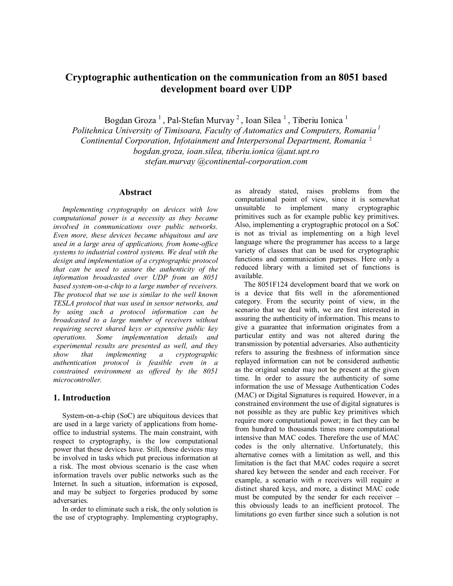# **Cryptographic authentication on the communication from an 8051 based development board over UDP**

Bogdan Groza<sup>1</sup>, Pal-Stefan Murvay<sup>2</sup>, Ioan Silea<sup>1</sup>, Tiberiu Ionica<sup>1</sup>

*Politehnica University of Timisoara, Faculty of Automatics and Computers, Romania 1 Continental Corporation, Infotainment and Interpersonal Department, Romania* <sup>2</sup> *bogdan.groza, ioan.silea, tiberiu.ionica @aut.upt.ro stefan.murvay @continental-corporation.com* 

# **Abstract**

*Implementing cryptography on devices with low computational power is a necessity as they became involved in communications over public networks. Even more, these devices became ubiquitous and are used in a large area of applications, from home-office systems to industrial control systems. We deal with the design and implementation of a cryptographic protocol that can be used to assure the authenticity of the information broadcasted over UDP from an 8051 based system-on-a-chip to a large number of receivers. The protocol that we use is similar to the well known TESLA protocol that was used in sensor networks, and by using such a protocol information can be broadcasted to a large number of receivers without requiring secret shared keys or expensive public key operations. Some implementation details and experimental results are presented as well, and they show that implementing a cryptographic authentication protocol is feasible even in a constrained environment as offered by the 8051 microcontroller.* 

## **1. Introduction**

System-on-a-chip (SoC) are ubiquitous devices that are used in a large variety of applications from homeoffice to industrial systems. The main constraint, with respect to cryptography, is the low computational power that these devices have. Still, these devices may be involved in tasks which put precious information at a risk. The most obvious scenario is the case when information travels over public networks such as the Internet. In such a situation, information is exposed, and may be subject to forgeries produced by some adversaries.

In order to eliminate such a risk, the only solution is the use of cryptography. Implementing cryptography, as already stated, raises problems from the computational point of view, since it is somewhat unsuitable to implement many cryptographic primitives such as for example public key primitives. Also, implementing a cryptographic protocol on a SoC is not as trivial as implementing on a high level language where the programmer has access to a large variety of classes that can be used for cryptographic functions and communication purposes. Here only a reduced library with a limited set of functions is available.

The 8051F124 development board that we work on is a device that fits well in the aforementioned category. From the security point of view, in the scenario that we deal with, we are first interested in assuring the authenticity of information. This means to give a guarantee that information originates from a particular entity and was not altered during the transmission by potential adversaries. Also authenticity refers to assuring the freshness of information since replayed information can not be considered authentic as the original sender may not be present at the given time. In order to assure the authenticity of some information the use of Message Authentication Codes (MAC) or Digital Signatures is required. However, in a constrained environment the use of digital signatures is not possible as they are public key primitives which require more computational power; in fact they can be from hundred to thousands times more computational intensive than MAC codes. Therefore the use of MAC codes is the only alternative. Unfortunately, this alternative comes with a limitation as well, and this limitation is the fact that MAC codes require a secret shared key between the sender and each receiver. For example, a scenario with *n* receivers will require *n* distinct shared keys, and more, a distinct MAC code must be computed by the sender for each receiver – this obviously leads to an inefficient protocol. The limitations go even further since such a solution is not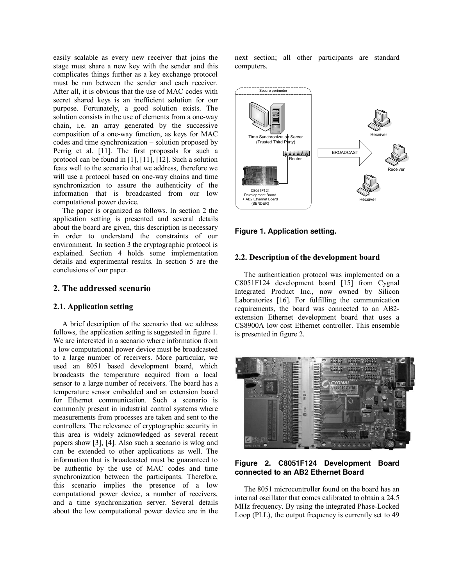easily scalable as every new receiver that joins the stage must share a new key with the sender and this complicates things further as a key exchange protocol must be run between the sender and each receiver. After all, it is obvious that the use of MAC codes with secret shared keys is an inefficient solution for our purpose. Fortunately, a good solution exists. The solution consists in the use of elements from a one-way chain, i.e. an array generated by the successive composition of a one-way function, as keys for MAC codes and time synchronization – solution proposed by Perrig et al. [11]. The first proposals for such a protocol can be found in [1], [11], [12]. Such a solution feats well to the scenario that we address, therefore we will use a protocol based on one-way chains and time synchronization to assure the authenticity of the information that is broadcasted from our low computational power device.

The paper is organized as follows. In section 2 the application setting is presented and several details about the board are given, this description is necessary in order to understand the constraints of our environment. In section 3 the cryptographic protocol is explained. Section 4 holds some implementation details and experimental results. In section 5 are the conclusions of our paper.

# **2. The addressed scenario**

#### **2.1. Application setting**

A brief description of the scenario that we address follows, the application setting is suggested in figure 1. We are interested in a scenario where information from a low computational power device must be broadcasted to a large number of receivers. More particular, we used an 8051 based development board, which broadcasts the temperature acquired from a local sensor to a large number of receivers. The board has a temperature sensor embedded and an extension board for Ethernet communication. Such a scenario is commonly present in industrial control systems where measurements from processes are taken and sent to the controllers. The relevance of cryptographic security in this area is widely acknowledged as several recent papers show [3], [4]. Also such a scenario is wlog and can be extended to other applications as well. The information that is broadcasted must be guaranteed to be authentic by the use of MAC codes and time synchronization between the participants. Therefore, this scenario implies the presence of a low computational power device, a number of receivers, and a time synchronization server. Several details about the low computational power device are in the

next section; all other participants are standard computers.



## **Figure 1. Application setting.**

#### **2.2. Description of the development board**

The authentication protocol was implemented on a C8051F124 development board [15] from Cygnal Integrated Product Inc., now owned by Silicon Laboratories [16]. For fulfilling the communication requirements, the board was connected to an AB2 extension Ethernet development board that uses a CS8900A low cost Ethernet controller. This ensemble is presented in figure 2.



## **Figure 2. C8051F124 Development Board connected to an AB2 Ethernet Board**

The 8051 microcontroller found on the board has an internal oscillator that comes calibrated to obtain a 24.5 MHz frequency. By using the integrated Phase-Locked Loop (PLL), the output frequency is currently set to 49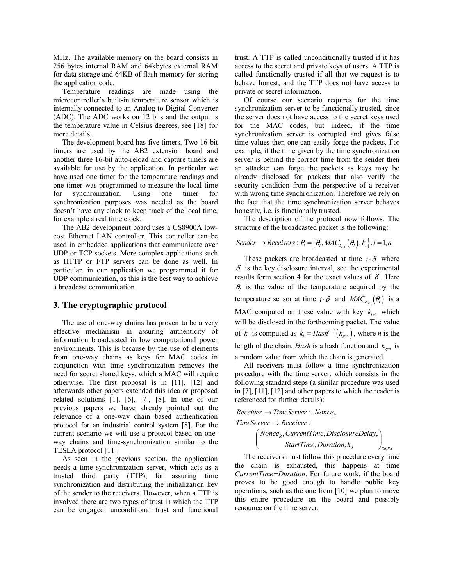MHz. The available memory on the board consists in 256 bytes internal RAM and 64kbytes external RAM for data storage and 64KB of flash memory for storing the application code.

Temperature readings are made using the microcontroller's built-in temperature sensor which is internally connected to an Analog to Digital Converter (ADC). The ADC works on 12 bits and the output is the temperature value in Celsius degrees, see [18] for more details.

The development board has five timers. Two 16-bit timers are used by the AB2 extension board and another three 16-bit auto-reload and capture timers are available for use by the application. In particular we have used one timer for the temperature readings and one timer was programmed to measure the local time for synchronization. Using one timer for synchronization purposes was needed as the board doesn't have any clock to keep track of the local time, for example a real time clock.

The AB2 development board uses a CS8900A lowcost Ethernet LAN controller. This controller can be used in embedded applications that communicate over UDP or TCP sockets. More complex applications such as HTTP or FTP servers can be done as well. In particular, in our application we programmed it for UDP communication, as this is the best way to achieve a broadcast communication.

#### **3. The cryptographic protocol**

The use of one-way chains has proven to be a very effective mechanism in assuring authenticity of information broadcasted in low computational power environments. This is because by the use of elements from one-way chains as keys for MAC codes in conjunction with time synchronization removes the need for secret shared keys, which a MAC will require otherwise. The first proposal is in [11], [12] and afterwards other papers extended this idea or proposed related solutions [1], [6], [7], [8]. In one of our previous papers we have already pointed out the relevance of a one-way chain based authentication protocol for an industrial control system [8]. For the current scenario we will use a protocol based on oneway chains and time-synchronization similar to the TESLA protocol [11].

As seen in the previous section, the application needs a time synchronization server, which acts as a trusted third party (TTP), for assuring time synchronization and distributing the initialization key of the sender to the receivers. However, when a TTP is involved there are two types of trust in which the TTP can be engaged: unconditional trust and functional

trust. A TTP is called unconditionally trusted if it has access to the secret and private keys of users. A TTP is called functionally trusted if all that we request is to behave honest, and the TTP does not have access to private or secret information.

Of course our scenario requires for the time synchronization server to be functionally trusted, since the server does not have access to the secret keys used for the MAC codes, but indeed, if the time synchronization server is corrupted and gives false time values then one can easily forge the packets. For example, if the time given by the time synchronization server is behind the correct time from the sender then an attacker can forge the packets as keys may be already disclosed for packets that also verify the security condition from the perspective of a receiver with wrong time synchronization. Therefore we rely on the fact that the time synchronization server behaves honestly, i.e. is functionally trusted.

The description of the protocol now follows. The structure of the broadcasted packet is the following:

$$
Sender \rightarrow Receivers : P_i = \left\{\theta_i, MAC_{k_{i+1}}( \theta_i), k_i \right\}, i = \overline{1, n}
$$

These packets are broadcasted at time  $i \cdot \delta$  where  $\delta$  is the key disclosure interval, see the experimental results form section 4 for the exact values of  $\delta$ . Here  $\theta_i$  is the value of the temperature acquired by the temperature sensor at time  $i \cdot \delta$  and  $MAC_{k_{i+1}}(\theta_i)$  is a MAC computed on these value with key  $k_{i+1}$  which will be disclosed in the forthcoming packet. The value of  $k_i$  is computed as  $k_i = Hash^{n-i}(k_{gen})$ , where *n* is the length of the chain, *Hash* is a hash function and  $k_{gen}$  is a random value from which the chain is generated.

All receivers must follow a time synchronization procedure with the time server, which consists in the following standard steps (a similar procedure was used in [7], [11], [12] and other papers to which the reader is referenced for further details):

*Receiver* → *TimeServer* : *Nonce<sub>R</sub>*  
*TimeServer* → *Receiver* :  

$$
\left( None_R, CurrentTime, DisclosureDelay, \right)
$$

$$
\left(\begin{array}{c}\nNonce_R, CurrentTime, DisclosureDelay, \\
StarTime,Duration, k_0\n\end{array}\right)
$$

*SigRS*

The receivers must follow this procedure every time the chain is exhausted, this happens at time *CurrentTime+Duration*. For future work, if the board proves to be good enough to handle public key operations, such as the one from [10] we plan to move this entire procedure on the board and possibly renounce on the time server.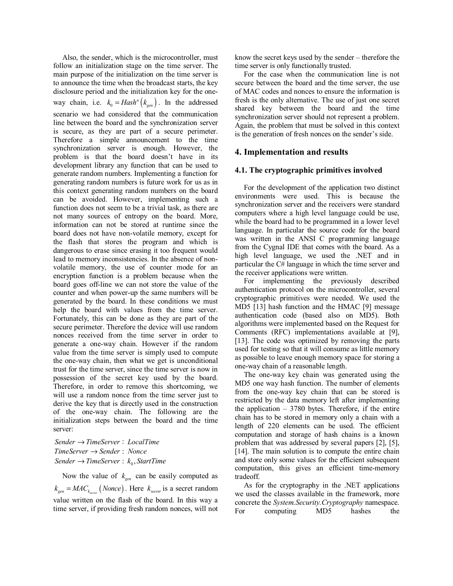Also, the sender, which is the microcontroller, must follow an initialization stage on the time server. The main purpose of the initialization on the time server is to announce the time when the broadcast starts, the key disclosure period and the initialization key for the oneway chain, i.e.  $k_0 = H \alpha s h^n \left( k_{gen} \right)$ . In the addressed scenario we had considered that the communication line between the board and the synchronization server is secure, as they are part of a secure perimeter. Therefore a simple announcement to the time synchronization server is enough. However, the problem is that the board doesn't have in its development library any function that can be used to generate random numbers. Implementing a function for generating random numbers is future work for us as in this context generating random numbers on the board can be avoided. However, implementing such a function does not seem to be a trivial task, as there are not many sources of entropy on the board. More, information can not be stored at runtime since the board does not have non-volatile memory, except for the flash that stores the program and which is dangerous to erase since erasing it too frequent would lead to memory inconsistencies. In the absence of nonvolatile memory, the use of counter mode for an encryption function is a problem because when the board goes off-line we can not store the value of the counter and when power-up the same numbers will be generated by the board. In these conditions we must help the board with values from the time server. Fortunately, this can be done as they are part of the secure perimeter. Therefore the device will use random nonces received from the time server in order to generate a one-way chain. However if the random value from the time server is simply used to compute the one-way chain, then what we get is unconditional trust for the time server, since the time server is now in possession of the secret key used by the board. Therefore, in order to remove this shortcoming, we will use a random nonce from the time server just to derive the key that is directly used in the construction of the one-way chain. The following are the initialization steps between the board and the time server:

*Sender* → *TimeServer* : *LocalTime*  $TimeServer \rightarrow sender : None$ *Sender*  $\rightarrow$  *TimeServer* :  $k_0$ , *StartTime* 

Now the value of  $k_{gen}$  can be easily computed as  $k_{gen} = MAC_{k}$  (*Nonce*). Here  $k_{secret}$  is a secret random value written on the flash of the board. In this way a time server, if providing fresh random nonces, will not

know the secret keys used by the sender – therefore the time server is only functionally trusted.

For the case when the communication line is not secure between the board and the time server, the use of MAC codes and nonces to ensure the information is fresh is the only alternative. The use of just one secret shared key between the board and the time synchronization server should not represent a problem. Again, the problem that must be solved in this context is the generation of fresh nonces on the sender's side.

# **4. Implementation and results**

## **4.1. The cryptographic primitives involved**

For the development of the application two distinct environments were used. This is because the synchronization server and the receivers were standard computers where a high level language could be use, while the board had to be programmed in a lower level language. In particular the source code for the board was written in the ANSI C programming language from the Cygnal IDE that comes with the board. As a high level language, we used the .NET and in particular the C# language in which the time server and the receiver applications were written.

For implementing the previously described authentication protocol on the microcontroller, several cryptographic primitives were needed. We used the MD5 [13] hash function and the HMAC [9] message authentication code (based also on MD5). Both algorithms were implemented based on the Request for Comments (RFC) implementations available at [9], [13]. The code was optimized by removing the parts used for testing so that it will consume as little memory as possible to leave enough memory space for storing a one-way chain of a reasonable length.

The one-way key chain was generated using the MD5 one way hash function. The number of elements from the one-way key chain that can be stored is restricted by the data memory left after implementing the application  $-3780$  bytes. Therefore, if the entire chain has to be stored in memory only a chain with a length of 220 elements can be used. The efficient computation and storage of hash chains is a known problem that was addressed by several papers [2], [5], [14]. The main solution is to compute the entire chain and store only some values for the efficient subsequent computation, this gives an efficient time-memory tradeoff.

As for the cryptography in the .NET applications we used the classes available in the framework, more concrete the *System.Security.Cryptography* namespace. For computing MD5 hashes the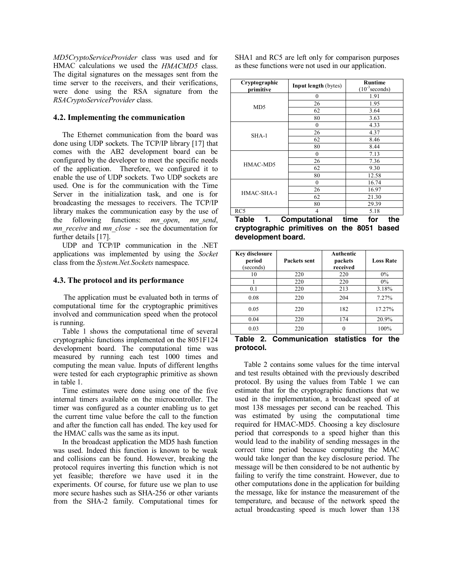*MD5CryptoServiceProvider* class was used and for HMAC calculations we used the *HMACMD5* class. The digital signatures on the messages sent from the time server to the receivers, and their verifications, were done using the RSA signature from the *RSACryptoServiceProvider* class.

## **4.2. Implementing the communication**

The Ethernet communication from the board was done using UDP sockets. The TCP/IP library [17] that comes with the AB2 development board can be configured by the developer to meet the specific needs of the application. Therefore, we configured it to enable the use of UDP sockets. Two UDP sockets are used. One is for the communication with the Time Server in the initialization task, and one is for broadcasting the messages to receivers. The TCP/IP library makes the communication easy by the use of the following functions: *mn\_open*, *mn\_send*, *mn\_receive* and *mn\_close* - see the documentation for further details [17].

UDP and TCP/IP communication in the .NET applications was implemented by using the *Socket* class from the *System.Net.Sockets* namespace.

## **4.3. The protocol and its performance**

The application must be evaluated both in terms of computational time for the cryptographic primitives involved and communication speed when the protocol is running.

Table 1 shows the computational time of several cryptographic functions implemented on the 8051F124 development board. The computational time was measured by running each test 1000 times and computing the mean value. Inputs of different lengths were tested for each cryptographic primitive as shown in table 1.

Time estimates were done using one of the five internal timers available on the microcontroller. The timer was configured as a counter enabling us to get the current time value before the call to the function and after the function call has ended. The key used for the HMAC calls was the same as its input.

In the broadcast application the MD5 hash function was used. Indeed this function is known to be weak and collisions can be found. However, breaking the protocol requires inverting this function which is not yet feasible; therefore we have used it in the experiments. Of course, for future use we plan to use more secure hashes such as SHA-256 or other variants from the SHA-2 family. Computational times for

SHA1 and RC5 are left only for comparison purposes as these functions were not used in our application.

| <b>Input length</b> (bytes) | <b>Runtime</b><br>$(10^{-3}$ seconds)            |
|-----------------------------|--------------------------------------------------|
| $\theta$                    | 1.91                                             |
| 26                          | 1.95                                             |
| 62                          | 3.64                                             |
| 80                          | 3.63                                             |
| $\mathbf{0}$                | 4.33                                             |
| 26                          | 4.37                                             |
| 62                          | 8.46                                             |
| 80                          | 8.44                                             |
| $\theta$                    | 7.13                                             |
| 26                          | 7.36                                             |
| 62                          | 9.30                                             |
| 80                          | 12.58                                            |
| $\boldsymbol{0}$            | 16.74                                            |
| 26                          | 16.97                                            |
| 62                          | 21.30                                            |
| 80                          | 29.39                                            |
| 4                           | 5.18                                             |
|                             | 4.57<br>$\sim$ 1.0 $\sim$ 1.0 $\sim$<br>⌒<br>. . |

**Table 1. Computational time for the cryptographic primitives on the 8051 based development board.** 

| <b>Key disclosure</b><br>period<br>(seconds) | Packets sent | Authentic<br>packets<br>received | <b>Loss Rate</b> |
|----------------------------------------------|--------------|----------------------------------|------------------|
| 10                                           | 220          | 220                              | $0\%$            |
|                                              | 220          | 220                              | $0\%$            |
| 0.1                                          | 220          | 213                              | 3.18%            |
| 0.08                                         | 220          | 204                              | 7.27%            |
| 0.05                                         | 220          | 182                              | 17.27%           |
| 0.04                                         | 220          | 174                              | 20.9%            |
| 0.03                                         | 220          |                                  | 100%             |

**Table 2. Communication statistics for the protocol.** 

Table 2 contains some values for the time interval and test results obtained with the previously described protocol. By using the values from Table 1 we can estimate that for the cryptographic functions that we used in the implementation, a broadcast speed of at most 138 messages per second can be reached. This was estimated by using the computational time required for HMAC-MD5. Choosing a key disclosure period that corresponds to a speed higher than this would lead to the inability of sending messages in the correct time period because computing the MAC would take longer than the key disclosure period. The message will be then considered to be not authentic by failing to verify the time constraint. However, due to other computations done in the application for building the message, like for instance the measurement of the temperature, and because of the network speed the actual broadcasting speed is much lower than 138